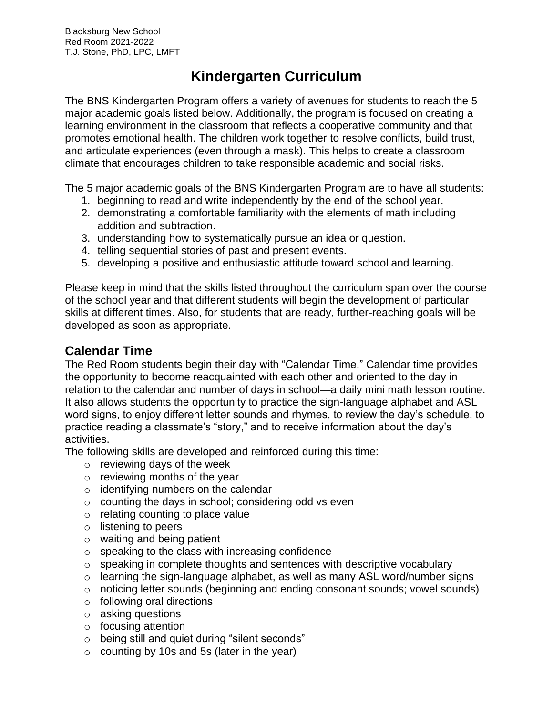# **Kindergarten Curriculum**

The BNS Kindergarten Program offers a variety of avenues for students to reach the 5 major academic goals listed below. Additionally, the program is focused on creating a learning environment in the classroom that reflects a cooperative community and that promotes emotional health. The children work together to resolve conflicts, build trust, and articulate experiences (even through a mask). This helps to create a classroom climate that encourages children to take responsible academic and social risks.

The 5 major academic goals of the BNS Kindergarten Program are to have all students:

- 1. beginning to read and write independently by the end of the school year.
- 2. demonstrating a comfortable familiarity with the elements of math including addition and subtraction.
- 3. understanding how to systematically pursue an idea or question.
- 4. telling sequential stories of past and present events.
- 5. developing a positive and enthusiastic attitude toward school and learning.

Please keep in mind that the skills listed throughout the curriculum span over the course of the school year and that different students will begin the development of particular skills at different times. Also, for students that are ready, further-reaching goals will be developed as soon as appropriate.

# **Calendar Time**

The Red Room students begin their day with "Calendar Time." Calendar time provides the opportunity to become reacquainted with each other and oriented to the day in relation to the calendar and number of days in school—a daily mini math lesson routine. It also allows students the opportunity to practice the sign-language alphabet and ASL word signs, to enjoy different letter sounds and rhymes, to review the day's schedule, to practice reading a classmate's "story," and to receive information about the day's activities.

The following skills are developed and reinforced during this time:

- $\circ$  reviewing days of the week
- $\circ$  reviewing months of the year
- $\circ$  identifying numbers on the calendar
- o counting the days in school; considering odd vs even
- $\circ$  relating counting to place value
- o listening to peers
- o waiting and being patient
- $\circ$  speaking to the class with increasing confidence
- $\circ$  speaking in complete thoughts and sentences with descriptive vocabulary
- o learning the sign-language alphabet, as well as many ASL word/number signs
- o noticing letter sounds (beginning and ending consonant sounds; vowel sounds)
- o following oral directions
- o asking questions
- o focusing attention
- o being still and quiet during "silent seconds"
- $\circ$  counting by 10s and 5s (later in the year)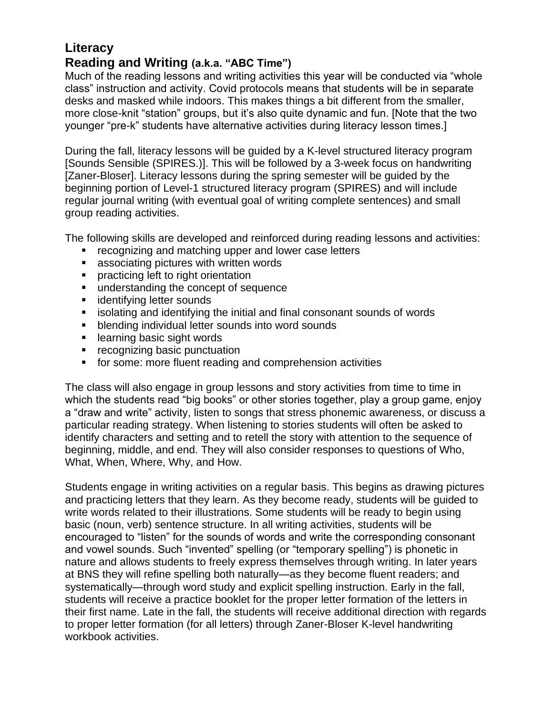# **Literacy Reading and Writing (a.k.a. "ABC Time")**

Much of the reading lessons and writing activities this year will be conducted via "whole class" instruction and activity. Covid protocols means that students will be in separate desks and masked while indoors. This makes things a bit different from the smaller, more close-knit "station" groups, but it's also quite dynamic and fun. [Note that the two younger "pre-k" students have alternative activities during literacy lesson times.]

During the fall, literacy lessons will be guided by a K-level structured literacy program [Sounds Sensible (SPIRES.)]. This will be followed by a 3-week focus on handwriting [Zaner-Bloser]. Literacy lessons during the spring semester will be guided by the beginning portion of Level-1 structured literacy program (SPIRES) and will include regular journal writing (with eventual goal of writing complete sentences) and small group reading activities.

The following skills are developed and reinforced during reading lessons and activities:

- recognizing and matching upper and lower case letters
- associating pictures with written words
- practicing left to right orientation
- understanding the concept of sequence
- identifying letter sounds
- isolating and identifying the initial and final consonant sounds of words
- blending individual letter sounds into word sounds
- learning basic sight words
- recognizing basic punctuation
- for some: more fluent reading and comprehension activities

The class will also engage in group lessons and story activities from time to time in which the students read "big books" or other stories together, play a group game, enjoy a "draw and write" activity, listen to songs that stress phonemic awareness, or discuss a particular reading strategy. When listening to stories students will often be asked to identify characters and setting and to retell the story with attention to the sequence of beginning, middle, and end. They will also consider responses to questions of Who, What, When, Where, Why, and How.

Students engage in writing activities on a regular basis. This begins as drawing pictures and practicing letters that they learn. As they become ready, students will be guided to write words related to their illustrations. Some students will be ready to begin using basic (noun, verb) sentence structure. In all writing activities, students will be encouraged to "listen" for the sounds of words and write the corresponding consonant and vowel sounds. Such "invented" spelling (or "temporary spelling") is phonetic in nature and allows students to freely express themselves through writing. In later years at BNS they will refine spelling both naturally—as they become fluent readers; and systematically—through word study and explicit spelling instruction. Early in the fall, students will receive a practice booklet for the proper letter formation of the letters in their first name. Late in the fall, the students will receive additional direction with regards to proper letter formation (for all letters) through Zaner-Bloser K-level handwriting workbook activities.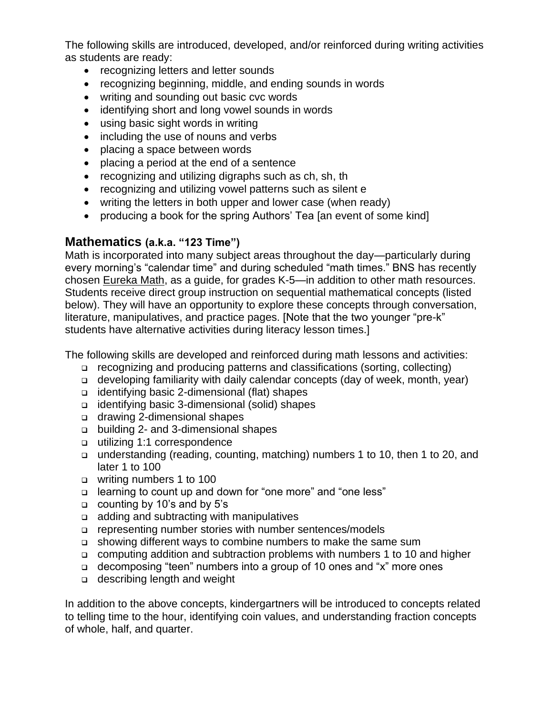The following skills are introduced, developed, and/or reinforced during writing activities as students are ready:

- recognizing letters and letter sounds
- recognizing beginning, middle, and ending sounds in words
- writing and sounding out basic cvc words
- identifying short and long vowel sounds in words
- using basic sight words in writing
- including the use of nouns and verbs
- placing a space between words
- placing a period at the end of a sentence
- recognizing and utilizing digraphs such as ch, sh, th
- recognizing and utilizing vowel patterns such as silent e
- writing the letters in both upper and lower case (when ready)
- producing a book for the spring Authors' Tea [an event of some kind]

### **Mathematics (a.k.a. "123 Time")**

Math is incorporated into many subject areas throughout the day—particularly during every morning's "calendar time" and during scheduled "math times." BNS has recently chosen Eureka Math, as a guide, for grades K-5—in addition to other math resources. Students receive direct group instruction on sequential mathematical concepts (listed below). They will have an opportunity to explore these concepts through conversation, literature, manipulatives, and practice pages. [Note that the two younger "pre-k" students have alternative activities during literacy lesson times.]

The following skills are developed and reinforced during math lessons and activities:

- ❑ recognizing and producing patterns and classifications (sorting, collecting)
- ❑ developing familiarity with daily calendar concepts (day of week, month, year)
- ❑ identifying basic 2-dimensional (flat) shapes
- ❑ identifying basic 3-dimensional (solid) shapes
- ❑ drawing 2-dimensional shapes
- ❑ building 2- and 3-dimensional shapes
- ❑ utilizing 1:1 correspondence
- ❑ understanding (reading, counting, matching) numbers 1 to 10, then 1 to 20, and later 1 to 100
- ❑ writing numbers 1 to 100
- ❑ learning to count up and down for "one more" and "one less"
- ❑ counting by 10's and by 5's
- ❑ adding and subtracting with manipulatives
- ❑ representing number stories with number sentences/models
- ❑ showing different ways to combine numbers to make the same sum
- ❑ computing addition and subtraction problems with numbers 1 to 10 and higher
- ❑ decomposing "teen" numbers into a group of 10 ones and "x" more ones
- ❑ describing length and weight

In addition to the above concepts, kindergartners will be introduced to concepts related to telling time to the hour, identifying coin values, and understanding fraction concepts of whole, half, and quarter.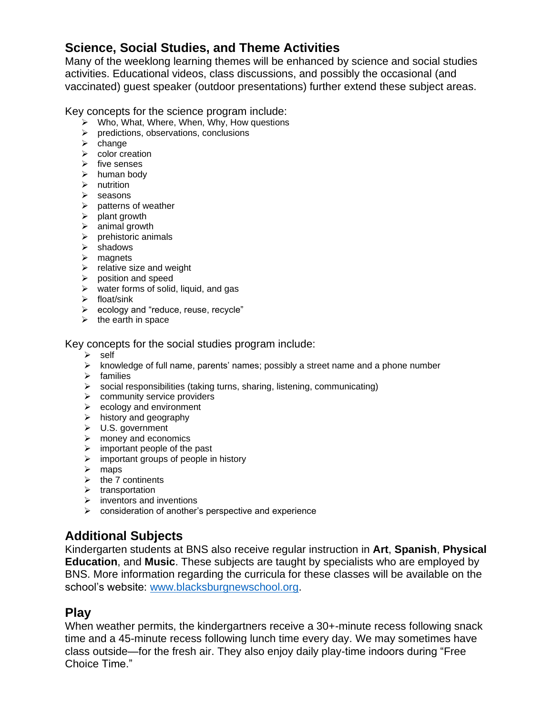# **Science, Social Studies, and Theme Activities**

Many of the weeklong learning themes will be enhanced by science and social studies activities. Educational videos, class discussions, and possibly the occasional (and vaccinated) guest speaker (outdoor presentations) further extend these subject areas.

Key concepts for the science program include:

- ➢ Who, What, Where, When, Why, How questions
- ➢ predictions, observations, conclusions
- ➢ change
- ➢ color creation
- ➢ five senses
- ➢ human body
- ➢ nutrition
- ➢ seasons
- $\triangleright$  patterns of weather
- $\triangleright$  plant growth
- $\triangleright$  animal growth
- ➢ prehistoric animals
- ➢ shadows
- ➢ magnets
- $\triangleright$  relative size and weight
- ➢ position and speed
- $\triangleright$  water forms of solid, liquid, and gas
- $\sum$  float/sink
- ➢ ecology and "reduce, reuse, recycle"
- $\triangleright$  the earth in space

#### Key concepts for the social studies program include:

- ➢ self
- $\triangleright$  knowledge of full name, parents' names; possibly a street name and a phone number
- ➢ families
- ➢ social responsibilities (taking turns, sharing, listening, communicating)
- ➢ community service providers
- $\triangleright$  ecology and environment
- $\triangleright$  history and geography
- ➢ U.S. government
- ➢ money and economics
- $\triangleright$  important people of the past
- $\triangleright$  important groups of people in history
- ➢ maps
- $\triangleright$  the 7 continents
- ➢ transportation
- $\triangleright$  inventors and inventions
- ➢ consideration of another's perspective and experience

### **Additional Subjects**

Kindergarten students at BNS also receive regular instruction in **Art**, **Spanish**, **Physical Education**, and **Music**. These subjects are taught by specialists who are employed by BNS. More information regarding the curricula for these classes will be available on the school's website: [www.blacksburgnewschool.org.](http://www.blacksburgnewschool.org/)

### **Play**

When weather permits, the kindergartners receive a 30+-minute recess following snack time and a 45-minute recess following lunch time every day. We may sometimes have class outside—for the fresh air. They also enjoy daily play-time indoors during "Free Choice Time."